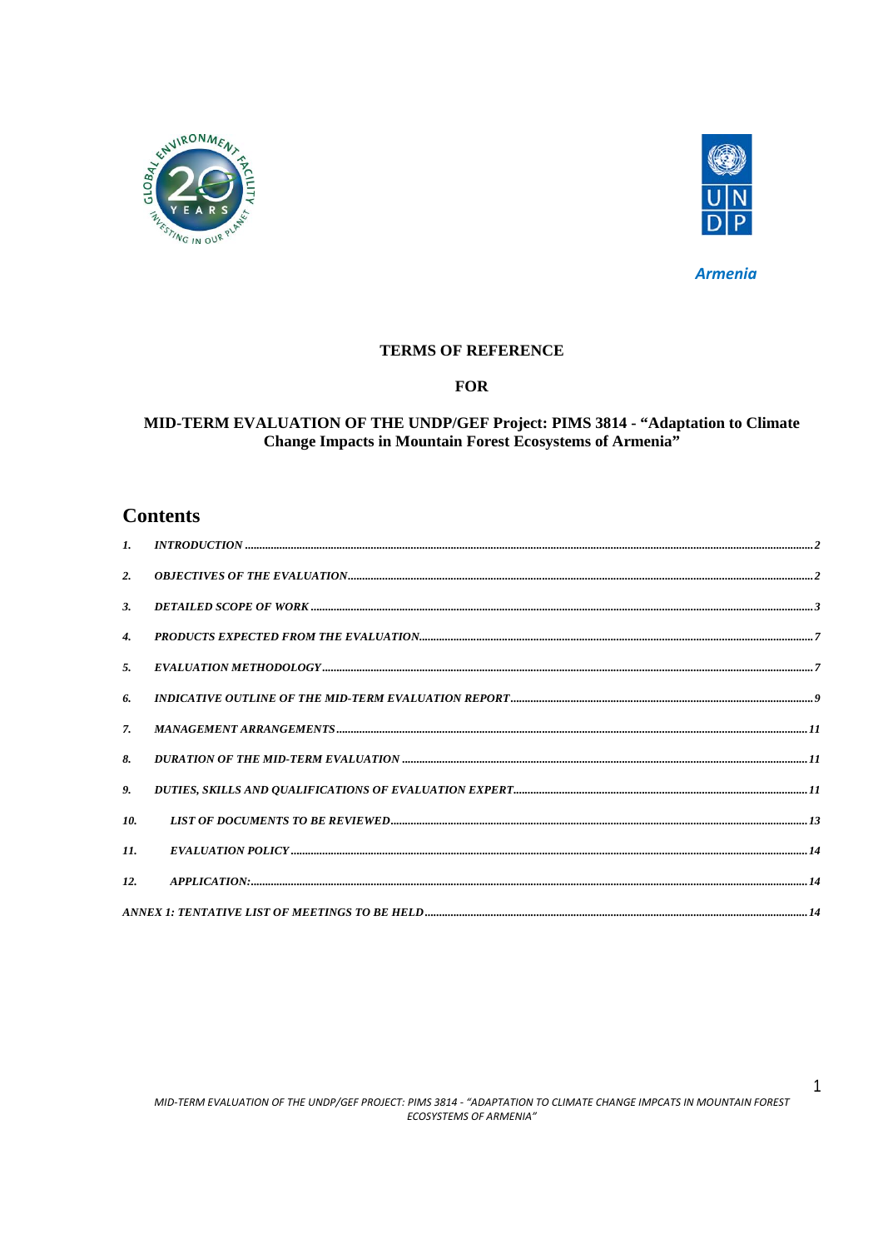



**Armenia** 

## **TERMS OF REFERENCE**

## **FOR**

# MID-TERM EVALUATION OF THE UNDP/GEF Project: PIMS 3814 - "Adaptation to Climate Change Impacts in Mountain Forest Ecosystems of Armenia"

# **Contents**

| $\mathbf{I}$ .     |  |
|--------------------|--|
| 2.                 |  |
| 3.                 |  |
| $\boldsymbol{4}$ . |  |
| 5.                 |  |
| 6.                 |  |
| 7.                 |  |
| 8.                 |  |
| 9.                 |  |
| 10.                |  |
| 11.                |  |
| 12.                |  |
|                    |  |

 $\mathbf{1}$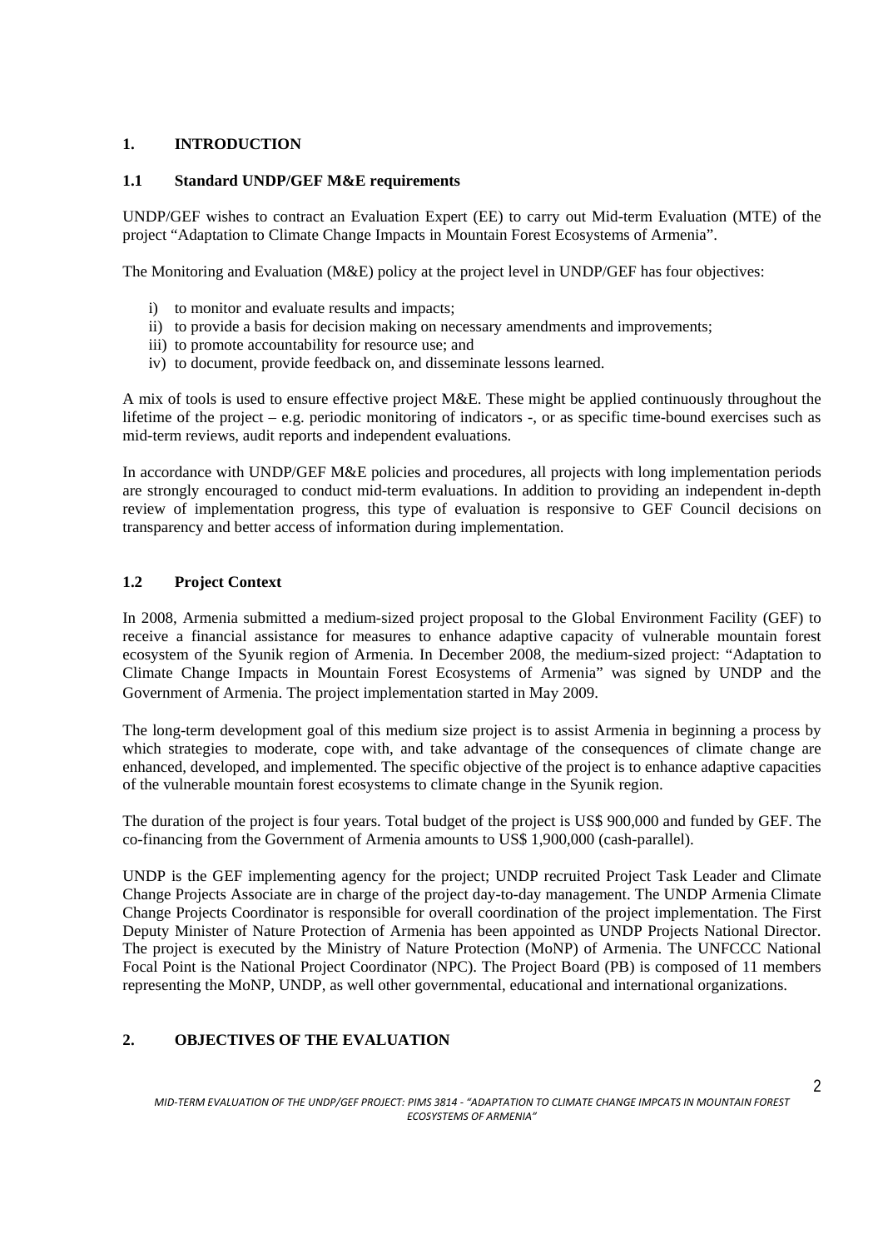### **1. INTRODUCTION**

### **1.1 Standard UNDP/GEF M&E requirements**

UNDP/GEF wishes to contract an Evaluation Expert (EE) to carry out Mid-term Evaluation (MTE) of the project "Adaptation to Climate Change Impacts in Mountain Forest Ecosystems of Armenia".

The Monitoring and Evaluation (M&E) policy at the project level in UNDP/GEF has four objectives:

- i) to monitor and evaluate results and impacts;
- ii) to provide a basis for decision making on necessary amendments and improvements;
- iii) to promote accountability for resource use; and
- iv) to document, provide feedback on, and disseminate lessons learned.

A mix of tools is used to ensure effective project M&E. These might be applied continuously throughout the lifetime of the project – e.g. periodic monitoring of indicators -, or as specific time-bound exercises such as mid-term reviews, audit reports and independent evaluations.

In accordance with UNDP/GEF M&E policies and procedures, all projects with long implementation periods are strongly encouraged to conduct mid-term evaluations. In addition to providing an independent in-depth review of implementation progress, this type of evaluation is responsive to GEF Council decisions on transparency and better access of information during implementation.

## **1.2 Project Context**

In 2008, Armenia submitted a medium-sized project proposal to the Global Environment Facility (GEF) to receive a financial assistance for measures to enhance adaptive capacity of vulnerable mountain forest ecosystem of the Syunik region of Armenia. In December 2008, the medium-sized project: "Adaptation to Climate Change Impacts in Mountain Forest Ecosystems of Armenia" was signed by UNDP and the Government of Armenia. The project implementation started in May 2009.

The long-term development goal of this medium size project is to assist Armenia in beginning a process by which strategies to moderate, cope with, and take advantage of the consequences of climate change are enhanced, developed, and implemented. The specific objective of the project is to enhance adaptive capacities of the vulnerable mountain forest ecosystems to climate change in the Syunik region.

The duration of the project is four years. Total budget of the project is US\$ 900,000 and funded by GEF. The co-financing from the Government of Armenia amounts to US\$ 1,900,000 (cash-parallel).

UNDP is the GEF implementing agency for the project; UNDP recruited Project Task Leader and Climate Change Projects Associate are in charge of the project day-to-day management. The UNDP Armenia Climate Change Projects Coordinator is responsible for overall coordination of the project implementation. The First Deputy Minister of Nature Protection of Armenia has been appointed as UNDP Projects National Director. The project is executed by the Ministry of Nature Protection (MoNP) of Armenia. The UNFCCC National Focal Point is the National Project Coordinator (NPC). The Project Board (PB) is composed of 11 members representing the MoNP, UNDP, as well other governmental, educational and international organizations.

# **2. OBJECTIVES OF THE EVALUATION**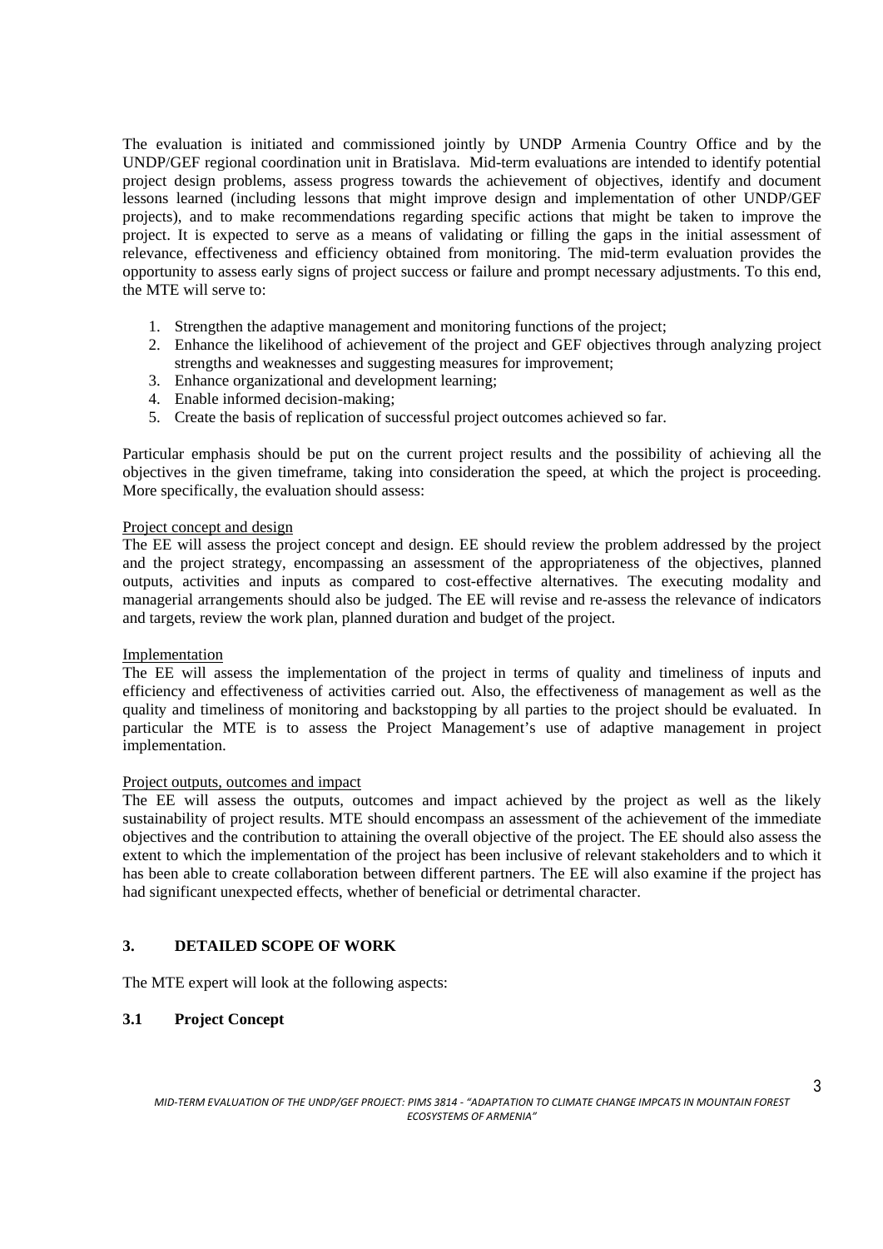The evaluation is initiated and commissioned jointly by UNDP Armenia Country Office and by the UNDP/GEF regional coordination unit in Bratislava. Mid-term evaluations are intended to identify potential project design problems, assess progress towards the achievement of objectives, identify and document lessons learned (including lessons that might improve design and implementation of other UNDP/GEF projects), and to make recommendations regarding specific actions that might be taken to improve the project. It is expected to serve as a means of validating or filling the gaps in the initial assessment of relevance, effectiveness and efficiency obtained from monitoring. The mid-term evaluation provides the opportunity to assess early signs of project success or failure and prompt necessary adjustments. To this end, the MTE will serve to:

- 1. Strengthen the adaptive management and monitoring functions of the project;
- 2. Enhance the likelihood of achievement of the project and GEF objectives through analyzing project strengths and weaknesses and suggesting measures for improvement;
- 3. Enhance organizational and development learning;
- 4. Enable informed decision-making;
- 5. Create the basis of replication of successful project outcomes achieved so far.

Particular emphasis should be put on the current project results and the possibility of achieving all the objectives in the given timeframe, taking into consideration the speed, at which the project is proceeding. More specifically, the evaluation should assess:

### Project concept and design

The EE will assess the project concept and design. EE should review the problem addressed by the project and the project strategy, encompassing an assessment of the appropriateness of the objectives, planned outputs, activities and inputs as compared to cost-effective alternatives. The executing modality and managerial arrangements should also be judged. The EE will revise and re-assess the relevance of indicators and targets, review the work plan, planned duration and budget of the project.

### Implementation

The EE will assess the implementation of the project in terms of quality and timeliness of inputs and efficiency and effectiveness of activities carried out. Also, the effectiveness of management as well as the quality and timeliness of monitoring and backstopping by all parties to the project should be evaluated. In particular the MTE is to assess the Project Management's use of adaptive management in project implementation.

### Project outputs, outcomes and impact

The EE will assess the outputs, outcomes and impact achieved by the project as well as the likely sustainability of project results. MTE should encompass an assessment of the achievement of the immediate objectives and the contribution to attaining the overall objective of the project. The EE should also assess the extent to which the implementation of the project has been inclusive of relevant stakeholders and to which it has been able to create collaboration between different partners. The EE will also examine if the project has had significant unexpected effects, whether of beneficial or detrimental character.

### **3. DETAILED SCOPE OF WORK**

The MTE expert will look at the following aspects:

### **3.1 Project Concept**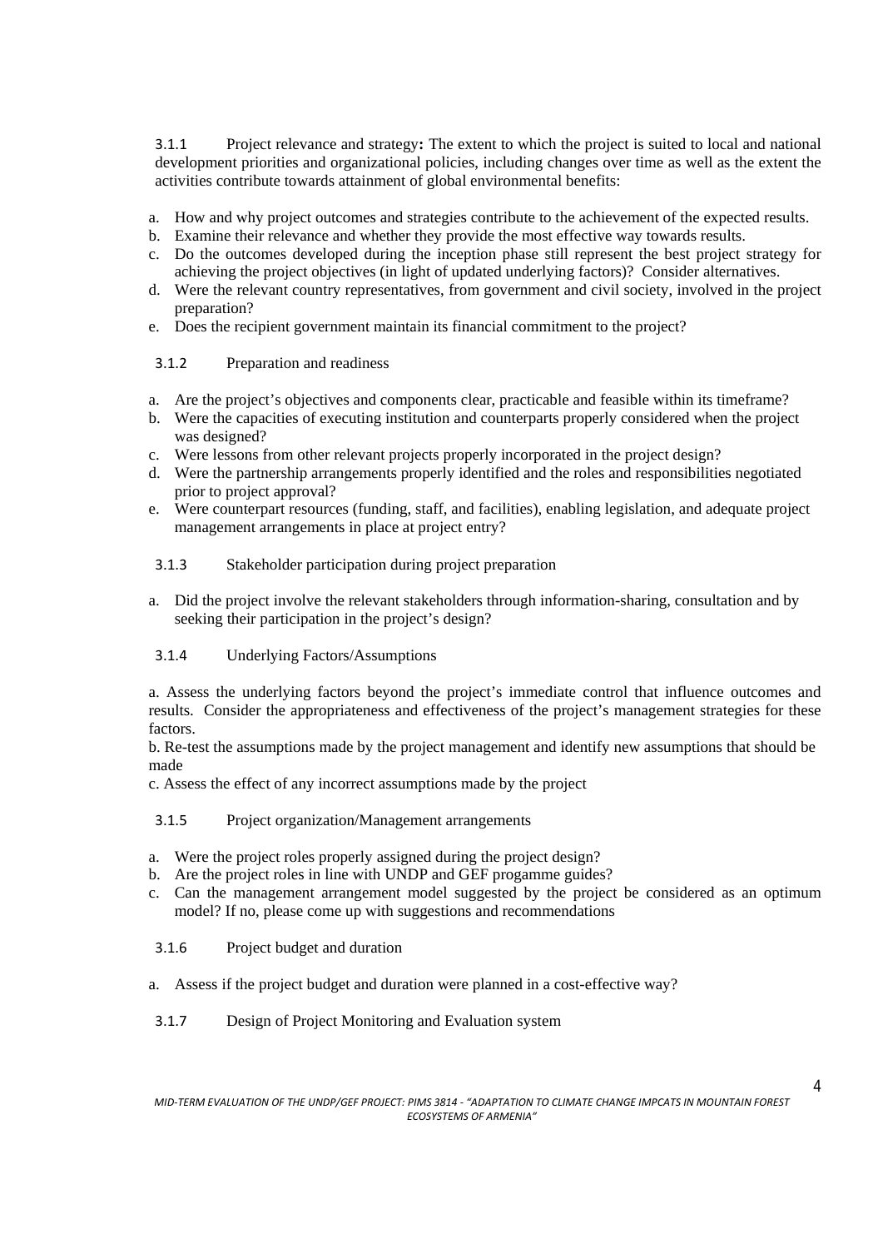3.1.1 Project relevance and strategy**:** The extent to which the project is suited to local and national development priorities and organizational policies, including changes over time as well as the extent the activities contribute towards attainment of global environmental benefits:

- a. How and why project outcomes and strategies contribute to the achievement of the expected results.
- b. Examine their relevance and whether they provide the most effective way towards results.
- c. Do the outcomes developed during the inception phase still represent the best project strategy for achieving the project objectives (in light of updated underlying factors)? Consider alternatives.
- d. Were the relevant country representatives, from government and civil society, involved in the project preparation?
- e. Does the recipient government maintain its financial commitment to the project?

### 3.1.2 Preparation and readiness

- a. Are the project's objectives and components clear, practicable and feasible within its timeframe?
- b. Were the capacities of executing institution and counterparts properly considered when the project was designed?
- c. Were lessons from other relevant projects properly incorporated in the project design?
- d. Were the partnership arrangements properly identified and the roles and responsibilities negotiated prior to project approval?
- e. Were counterpart resources (funding, staff, and facilities), enabling legislation, and adequate project management arrangements in place at project entry?
- 3.1.3 Stakeholder participation during project preparation
- a. Did the project involve the relevant stakeholders through information-sharing, consultation and by seeking their participation in the project's design?
- 3.1.4 Underlying Factors/Assumptions

a. Assess the underlying factors beyond the project's immediate control that influence outcomes and results. Consider the appropriateness and effectiveness of the project's management strategies for these factors.

b. Re-test the assumptions made by the project management and identify new assumptions that should be made

c. Assess the effect of any incorrect assumptions made by the project

- 3.1.5 Project organization/Management arrangements
- a. Were the project roles properly assigned during the project design?
- b. Are the project roles in line with UNDP and GEF progamme guides?
- c. Can the management arrangement model suggested by the project be considered as an optimum model? If no, please come up with suggestions and recommendations
- 3.1.6 Project budget and duration
- a. Assess if the project budget and duration were planned in a cost-effective way?
- 3.1.7 Design of Project Monitoring and Evaluation system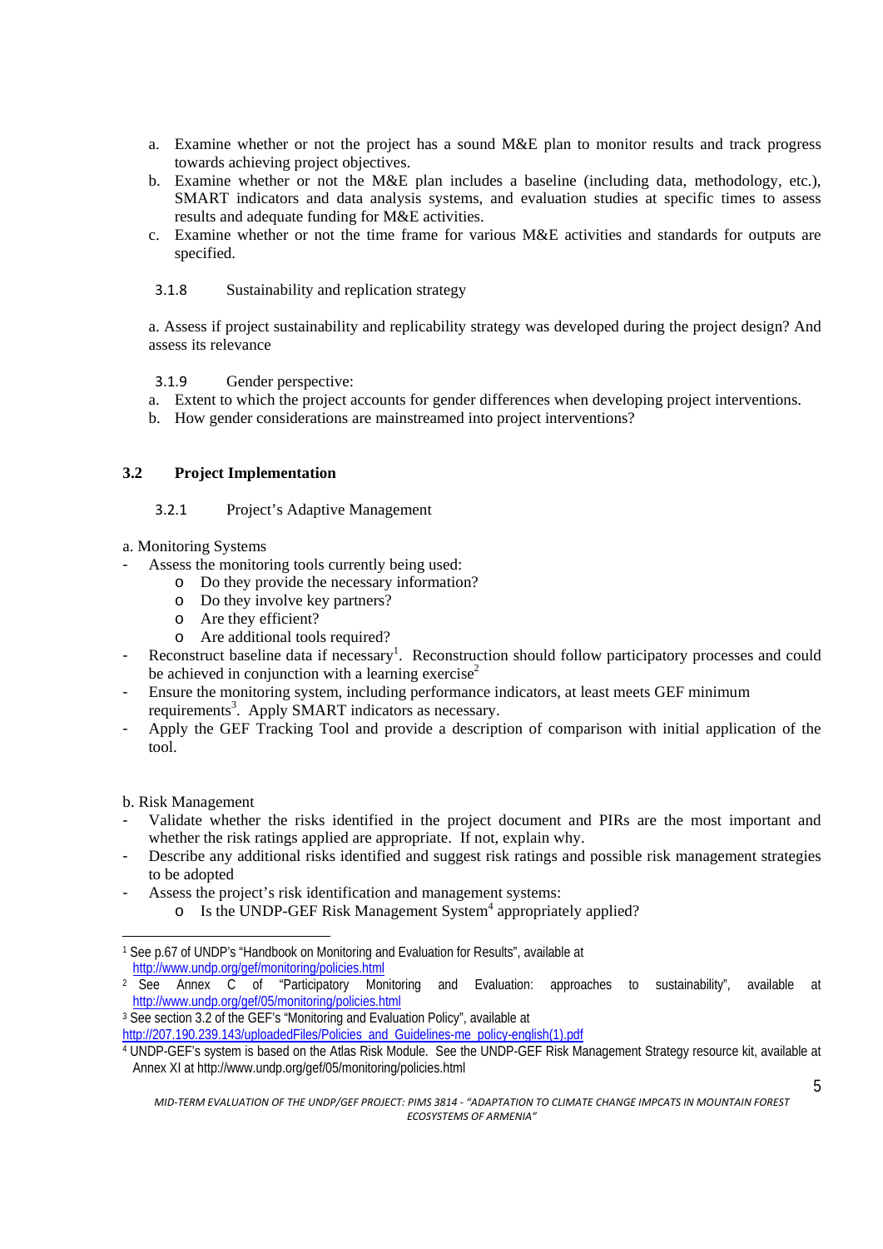- a. Examine whether or not the project has a sound M&E plan to monitor results and track progress towards achieving project objectives.
- b. Examine whether or not the M&E plan includes a baseline (including data, methodology, etc.), SMART indicators and data analysis systems, and evaluation studies at specific times to assess results and adequate funding for M&E activities.
- c. Examine whether or not the time frame for various M&E activities and standards for outputs are specified.
- 3.1.8 Sustainability and replication strategy

a. Assess if project sustainability and replicability strategy was developed during the project design? And assess its relevance

3.1.9 Gender perspective:

- a. Extent to which the project accounts for gender differences when developing project interventions.
- b. How gender considerations are mainstreamed into project interventions?

### **3.2 Project Implementation**

### 3.2.1 Project's Adaptive Management

- a. Monitoring Systems
	- Assess the monitoring tools currently being used:
		- o Do they provide the necessary information?
		- o Do they involve key partners?
		- o Are they efficient?
		- o Are additional tools required?
- Reconstruct baseline data if necessary<sup>1</sup>. Reconstruction should follow participatory processes and could be achieved in conjunction with a learning exercise<sup>2</sup>
- Ensure the monitoring system, including performance indicators, at least meets GEF minimum requirements<sup>3</sup>. Apply SMART indicators as necessary.
- Apply the GEF Tracking Tool and provide a description of comparison with initial application of the tool.

b. Risk Management

.

- Validate whether the risks identified in the project document and PIRs are the most important and whether the risk ratings applied are appropriate. If not, explain why.
- Describe any additional risks identified and suggest risk ratings and possible risk management strategies to be adopted
- Assess the project's risk identification and management systems:
	- o Is the UNDP-GEF Risk Management System<sup>4</sup> appropriately applied?

<sup>3</sup> See section 3.2 of the GEF's "Monitoring and Evaluation Policy", available at http://207.190.239.143/uploadedFiles/Policies\_and\_Guidelines-me\_policy-english(1).pdf

<sup>1</sup> See p.67 of UNDP's "Handbook on Monitoring and Evaluation for Results", available at

http://www.undp.org/gef/monitoring/policies.html<br>
<sup>2</sup> See Annex C of "Participatory Monitoring and Evaluation: approaches to sustainability", available at<br>
http://www.undp.org/gef/05/monitoring/policies.html

<sup>&</sup>lt;sup>4</sup> UNDP-GEF's system is based on the Atlas Risk Module. See the UNDP-GEF Risk Management Strategy resource kit, available at Annex XI at http://www.undp.org/gef/05/monitoring/policies.html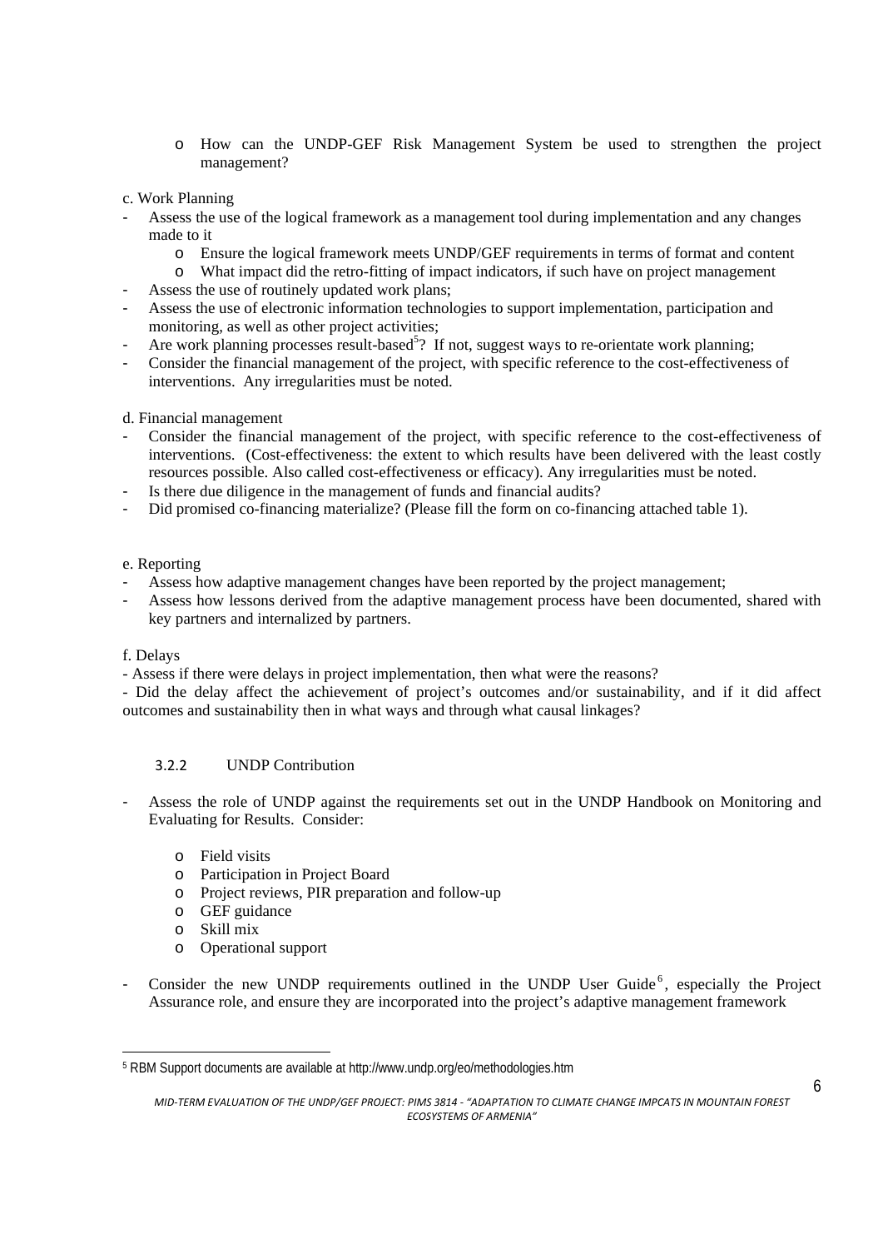- o How can the UNDP-GEF Risk Management System be used to strengthen the project management?
- c. Work Planning
- Assess the use of the logical framework as a management tool during implementation and any changes made to it
	- o Ensure the logical framework meets UNDP/GEF requirements in terms of format and content
	- o What impact did the retro-fitting of impact indicators, if such have on project management
- Assess the use of routinely updated work plans;
- Assess the use of electronic information technologies to support implementation, participation and monitoring, as well as other project activities;
- Are work planning processes result-based<sup>5</sup>? If not, suggest ways to re-orientate work planning;
- Consider the financial management of the project, with specific reference to the cost-effectiveness of interventions. Any irregularities must be noted.
- d. Financial management
- Consider the financial management of the project, with specific reference to the cost-effectiveness of interventions. (Cost-effectiveness: the extent to which results have been delivered with the least costly resources possible. Also called cost-effectiveness or efficacy). Any irregularities must be noted.
- Is there due diligence in the management of funds and financial audits?
- Did promised co-financing materialize? (Please fill the form on co-financing attached table 1).

e. Reporting

- Assess how adaptive management changes have been reported by the project management;
- Assess how lessons derived from the adaptive management process have been documented, shared with key partners and internalized by partners.
- f. Delays

l,

- Assess if there were delays in project implementation, then what were the reasons?

- Did the delay affect the achievement of project's outcomes and/or sustainability, and if it did affect outcomes and sustainability then in what ways and through what causal linkages?

### 3.2.2 UNDP Contribution

- Assess the role of UNDP against the requirements set out in the UNDP Handbook on Monitoring and Evaluating for Results. Consider:
	- o Field visits
	- o Participation in Project Board
	- o Project reviews, PIR preparation and follow-up
	- o GEF guidance
	- o Skill mix
	- o Operational support
- Consider the new UNDP requirements outlined in the UNDP User Guide<sup>6</sup>, especially the Project Assurance role, and ensure they are incorporated into the project's adaptive management framework

<sup>5</sup> RBM Support documents are available at http://www.undp.org/eo/methodologies.htm

MID-TERM EVALUATION OF THE UNDP/GEF PROJECT: PIMS 3814 - "ADAPTATION TO CLIMATE CHANGE IMPCATS IN MOUNTAIN FOREST *ECOSYSTEMS OF ARMENIA"*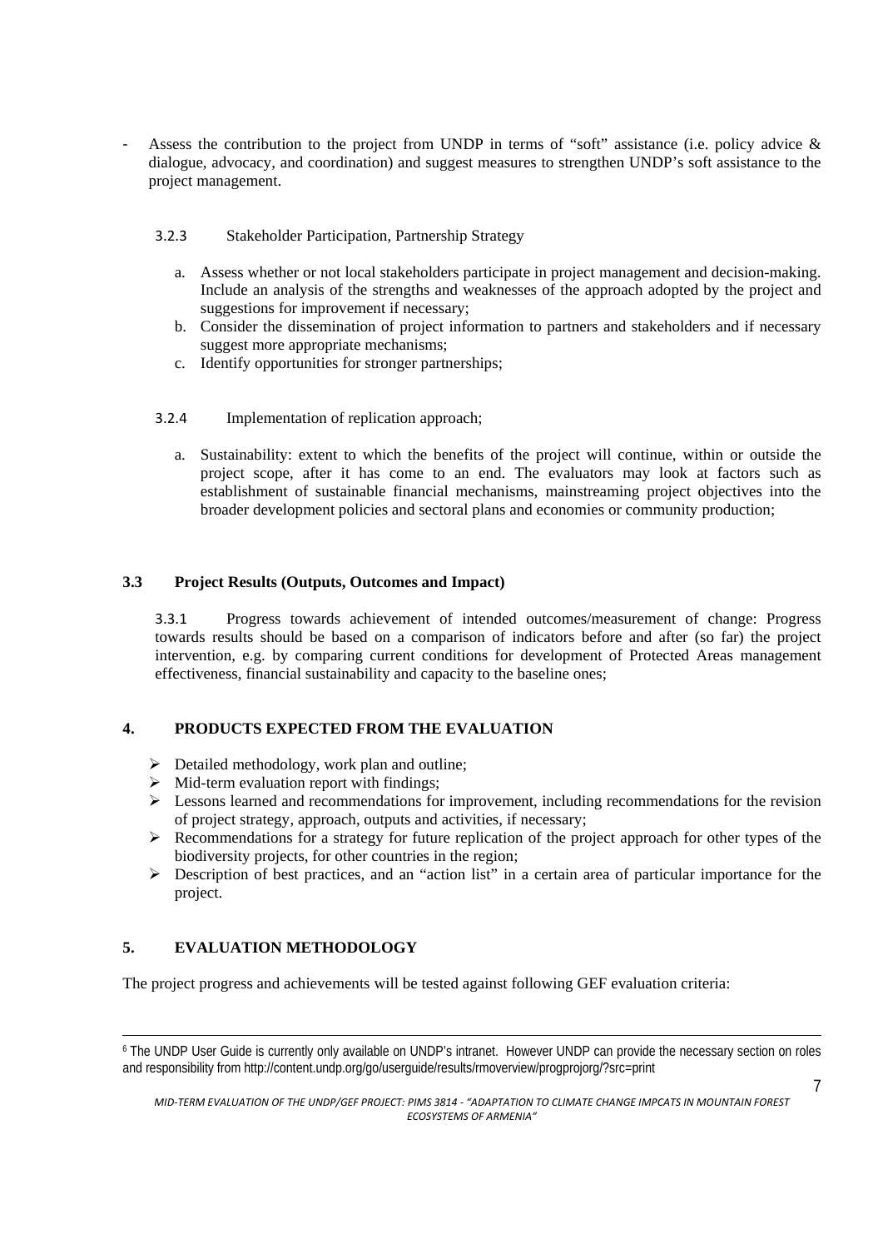- Assess the contribution to the project from UNDP in terms of "soft" assistance (i.e. policy advice  $\&$ dialogue, advocacy, and coordination) and suggest measures to strengthen UNDP's soft assistance to the project management.
	- 3.2.3 Stakeholder Participation, Partnership Strategy
		- a. Assess whether or not local stakeholders participate in project management and decision-making. Include an analysis of the strengths and weaknesses of the approach adopted by the project and suggestions for improvement if necessary;
		- b. Consider the dissemination of project information to partners and stakeholders and if necessary suggest more appropriate mechanisms;
		- c. Identify opportunities for stronger partnerships;
	- 3.2.4 Implementation of replication approach;
		- a. Sustainability: extent to which the benefits of the project will continue, within or outside the project scope, after it has come to an end. The evaluators may look at factors such as establishment of sustainable financial mechanisms, mainstreaming project objectives into the broader development policies and sectoral plans and economies or community production;

## **3.3 Project Results (Outputs, Outcomes and Impact)**

3.3.1 Progress towards achievement of intended outcomes/measurement of change: Progress towards results should be based on a comparison of indicators before and after (so far) the project intervention, e.g. by comparing current conditions for development of Protected Areas management effectiveness, financial sustainability and capacity to the baseline ones;

### **4. PRODUCTS EXPECTED FROM THE EVALUATION**

- $\triangleright$  Detailed methodology, work plan and outline;
- $\triangleright$  Mid-term evaluation report with findings;
- $\triangleright$  Lessons learned and recommendations for improvement, including recommendations for the revision of project strategy, approach, outputs and activities, if necessary;
- $\triangleright$  Recommendations for a strategy for future replication of the project approach for other types of the biodiversity projects, for other countries in the region;
- ¾ Description of best practices, and an "action list" in a certain area of particular importance for the project.

# **5. EVALUATION METHODOLOGY**

The project progress and achievements will be tested against following GEF evaluation criteria:

 <sup>6</sup> The UNDP User Guide is currently only available on UNDP's intranet. However UNDP can provide the necessary section on roles and responsibility from http://content.undp.org/go/userguide/results/rmoverview/progprojorg/?src=print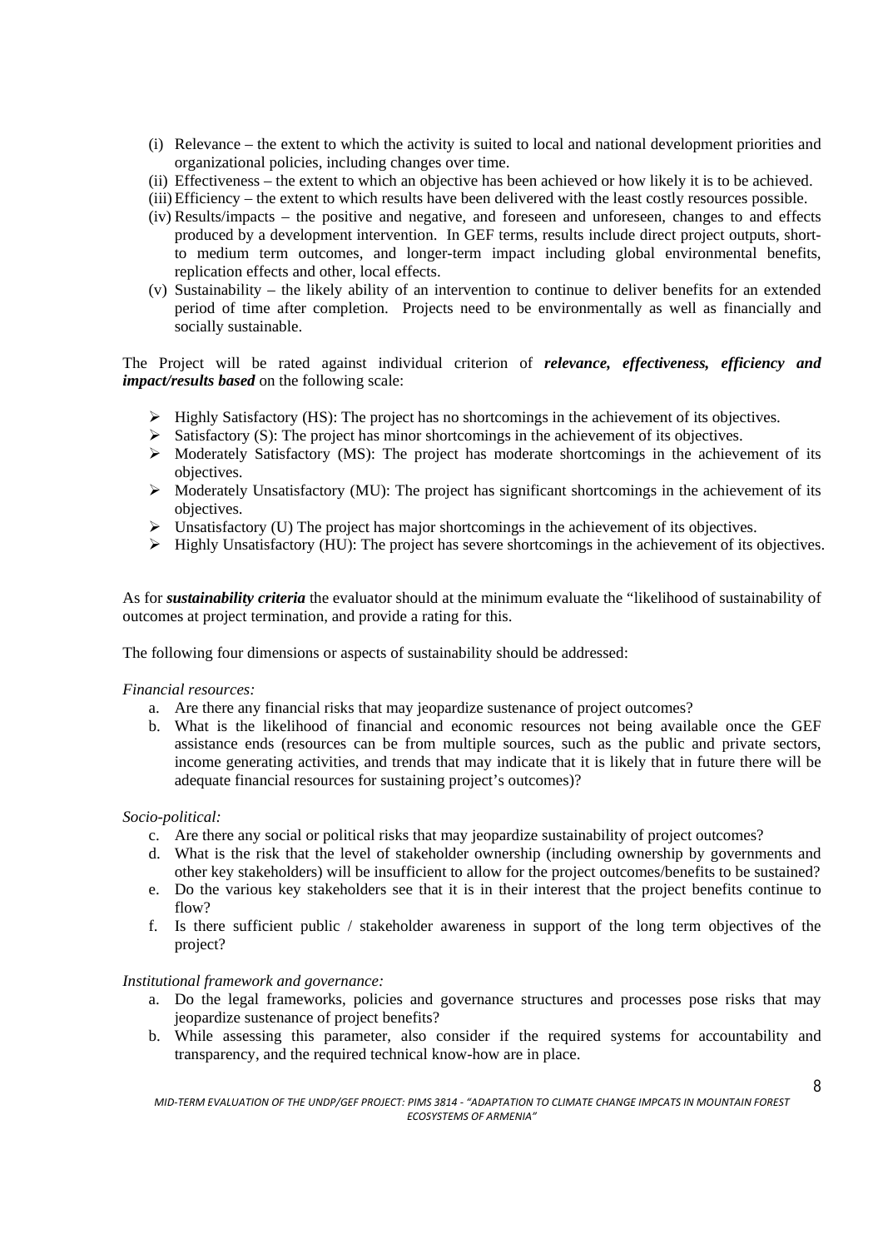- (i) Relevance the extent to which the activity is suited to local and national development priorities and organizational policies, including changes over time.
- (ii) Effectiveness the extent to which an objective has been achieved or how likely it is to be achieved.
- (iii)Efficiency the extent to which results have been delivered with the least costly resources possible.
- (iv) Results/impacts the positive and negative, and foreseen and unforeseen, changes to and effects produced by a development intervention. In GEF terms, results include direct project outputs, shortto medium term outcomes, and longer-term impact including global environmental benefits, replication effects and other, local effects.
- (v) Sustainability the likely ability of an intervention to continue to deliver benefits for an extended period of time after completion. Projects need to be environmentally as well as financially and socially sustainable.

The Project will be rated against individual criterion of *relevance, effectiveness, efficiency and impact/results based* on the following scale:

- $\triangleright$  Highly Satisfactory (HS): The project has no shortcomings in the achievement of its objectives.
- $\triangleright$  Satisfactory (S): The project has minor shortcomings in the achievement of its objectives.
- $\triangleright$  Moderately Satisfactory (MS): The project has moderate shortcomings in the achievement of its objectives.
- ¾ Moderately Unsatisfactory (MU): The project has significant shortcomings in the achievement of its objectives.
- $\triangleright$  Unsatisfactory (U) The project has major shortcomings in the achievement of its objectives.
- $\triangleright$  Highly Unsatisfactory (HU): The project has severe shortcomings in the achievement of its objectives.

As for *sustainability criteria* the evaluator should at the minimum evaluate the "likelihood of sustainability of outcomes at project termination, and provide a rating for this.

The following four dimensions or aspects of sustainability should be addressed:

### *Financial resources:*

- a. Are there any financial risks that may jeopardize sustenance of project outcomes?
- b. What is the likelihood of financial and economic resources not being available once the GEF assistance ends (resources can be from multiple sources, such as the public and private sectors, income generating activities, and trends that may indicate that it is likely that in future there will be adequate financial resources for sustaining project's outcomes)?

### *Socio-political:*

- c. Are there any social or political risks that may jeopardize sustainability of project outcomes?
- d. What is the risk that the level of stakeholder ownership (including ownership by governments and other key stakeholders) will be insufficient to allow for the project outcomes/benefits to be sustained?
- e. Do the various key stakeholders see that it is in their interest that the project benefits continue to flow?
- f. Is there sufficient public / stakeholder awareness in support of the long term objectives of the project?

### *Institutional framework and governance:*

- a. Do the legal frameworks, policies and governance structures and processes pose risks that may jeopardize sustenance of project benefits?
- b. While assessing this parameter, also consider if the required systems for accountability and transparency, and the required technical know-how are in place.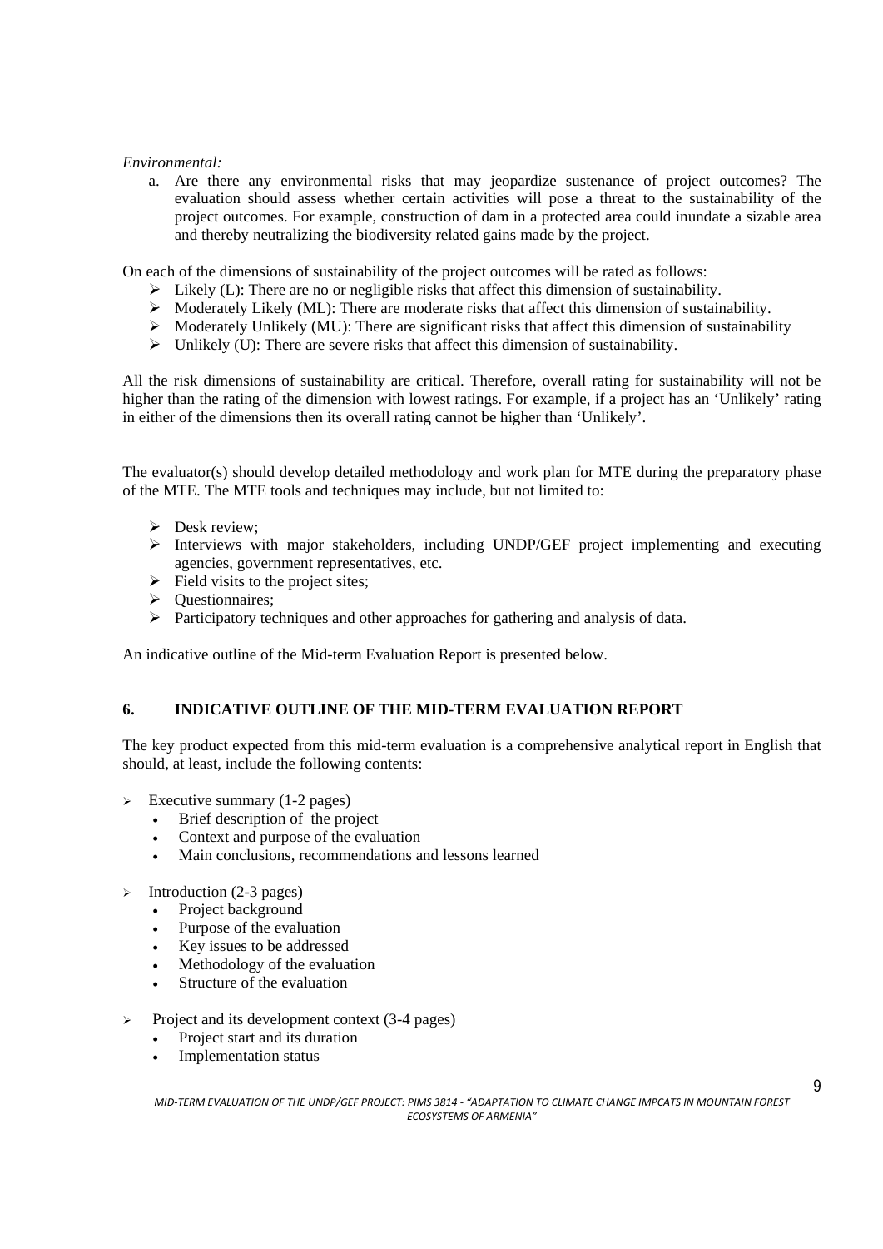### *Environmental:*

a. Are there any environmental risks that may jeopardize sustenance of project outcomes? The evaluation should assess whether certain activities will pose a threat to the sustainability of the project outcomes. For example, construction of dam in a protected area could inundate a sizable area and thereby neutralizing the biodiversity related gains made by the project.

On each of the dimensions of sustainability of the project outcomes will be rated as follows:

- $\triangleright$  Likely (L): There are no or negligible risks that affect this dimension of sustainability.
- $\triangleright$  Moderately Likely (ML): There are moderate risks that affect this dimension of sustainability.
- $\triangleright$  Moderately Unlikely (MU): There are significant risks that affect this dimension of sustainability
- $\triangleright$  Unlikely (U): There are severe risks that affect this dimension of sustainability.

All the risk dimensions of sustainability are critical. Therefore, overall rating for sustainability will not be higher than the rating of the dimension with lowest ratings. For example, if a project has an 'Unlikely' rating in either of the dimensions then its overall rating cannot be higher than 'Unlikely'.

The evaluator(s) should develop detailed methodology and work plan for MTE during the preparatory phase of the MTE. The MTE tools and techniques may include, but not limited to:

- $\triangleright$  Desk review;
- $\triangleright$  Interviews with major stakeholders, including UNDP/GEF project implementing and executing agencies, government representatives, etc.
- $\triangleright$  Field visits to the project sites;
- $\triangleright$  Questionnaires:
- ¾ Participatory techniques and other approaches for gathering and analysis of data.

An indicative outline of the Mid-term Evaluation Report is presented below.

## **6. INDICATIVE OUTLINE OF THE MID-TERM EVALUATION REPORT**

The key product expected from this mid-term evaluation is a comprehensive analytical report in English that should, at least, include the following contents:

- $\geq$  Executive summary (1-2 pages)
	- Brief description of the project
	- Context and purpose of the evaluation
	- Main conclusions, recommendations and lessons learned
- $\triangleright$  Introduction (2-3 pages)
	- Project background
	- Purpose of the evaluation
	- Key issues to be addressed
	- Methodology of the evaluation
	- Structure of the evaluation
- $\triangleright$  Project and its development context (3-4 pages)
	- Project start and its duration
	- Implementation status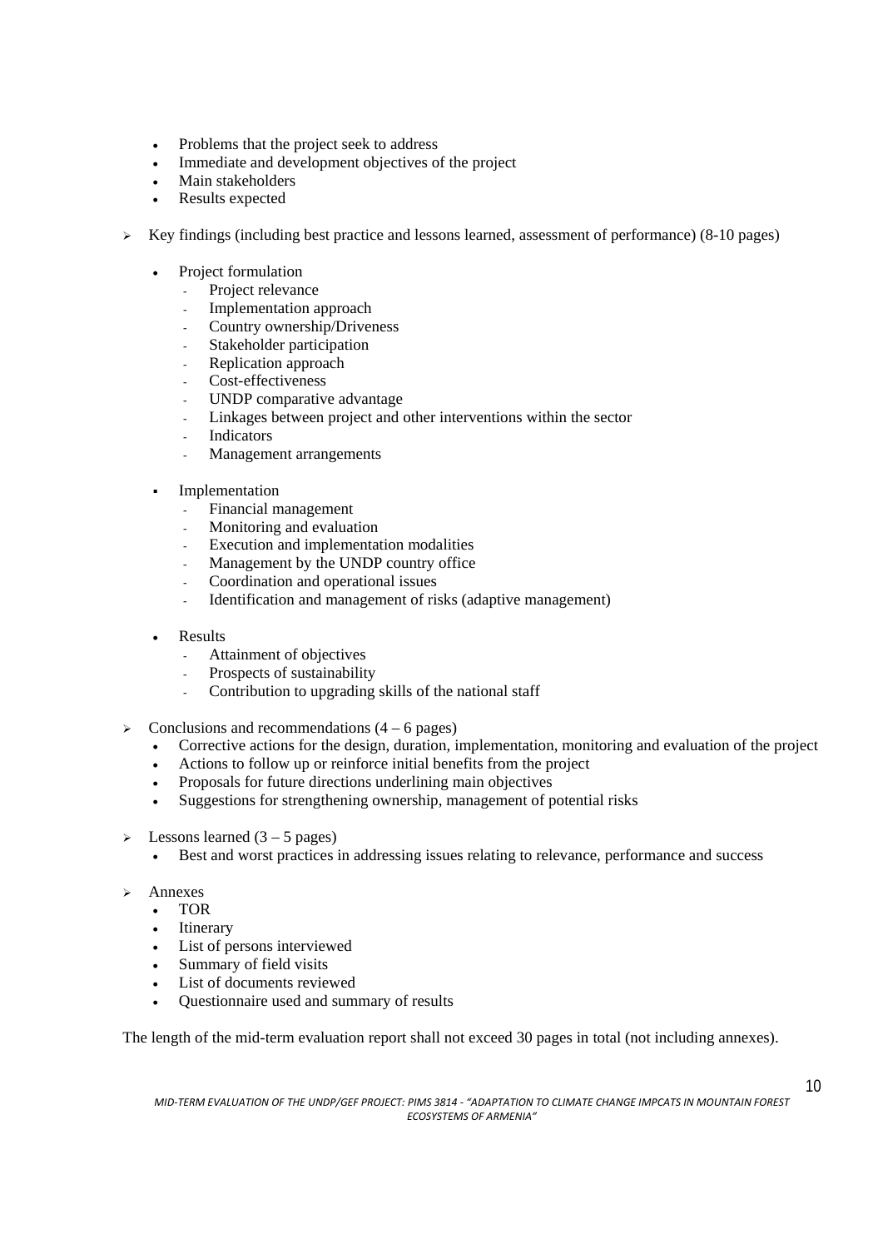- Problems that the project seek to address
- Immediate and development objectives of the project
- Main stakeholders
- Results expected
- ¾ Key findings (including best practice and lessons learned, assessment of performance) (8-10 pages)
	- Project formulation
		- Project relevance
		- Implementation approach
		- Country ownership/Driveness
		- Stakeholder participation
		- Replication approach
		- Cost-effectiveness
		- UNDP comparative advantage
		- Linkages between project and other interventions within the sector
		- **Indicators**
		- Management arrangements
	- Implementation
		- Financial management
		- Monitoring and evaluation
		- Execution and implementation modalities
		- Management by the UNDP country office
		- Coordination and operational issues
		- Identification and management of risks (adaptive management)
	- Results
		- Attainment of objectives
		- Prospects of sustainability
		- Contribution to upgrading skills of the national staff
- $\triangleright$  Conclusions and recommendations (4 6 pages)
	- Corrective actions for the design, duration, implementation, monitoring and evaluation of the project
	- Actions to follow up or reinforce initial benefits from the project
	- Proposals for future directions underlining main objectives
	- Suggestions for strengthening ownership, management of potential risks
- $\geq$  Lessons learned (3 5 pages)
	- Best and worst practices in addressing issues relating to relevance, performance and success
- $\triangleright$  Annexes
	- TOR
	- **Itinerary**
	- List of persons interviewed
	- Summary of field visits
	- List of documents reviewed
	- Questionnaire used and summary of results

The length of the mid-term evaluation report shall not exceed 30 pages in total (not including annexes).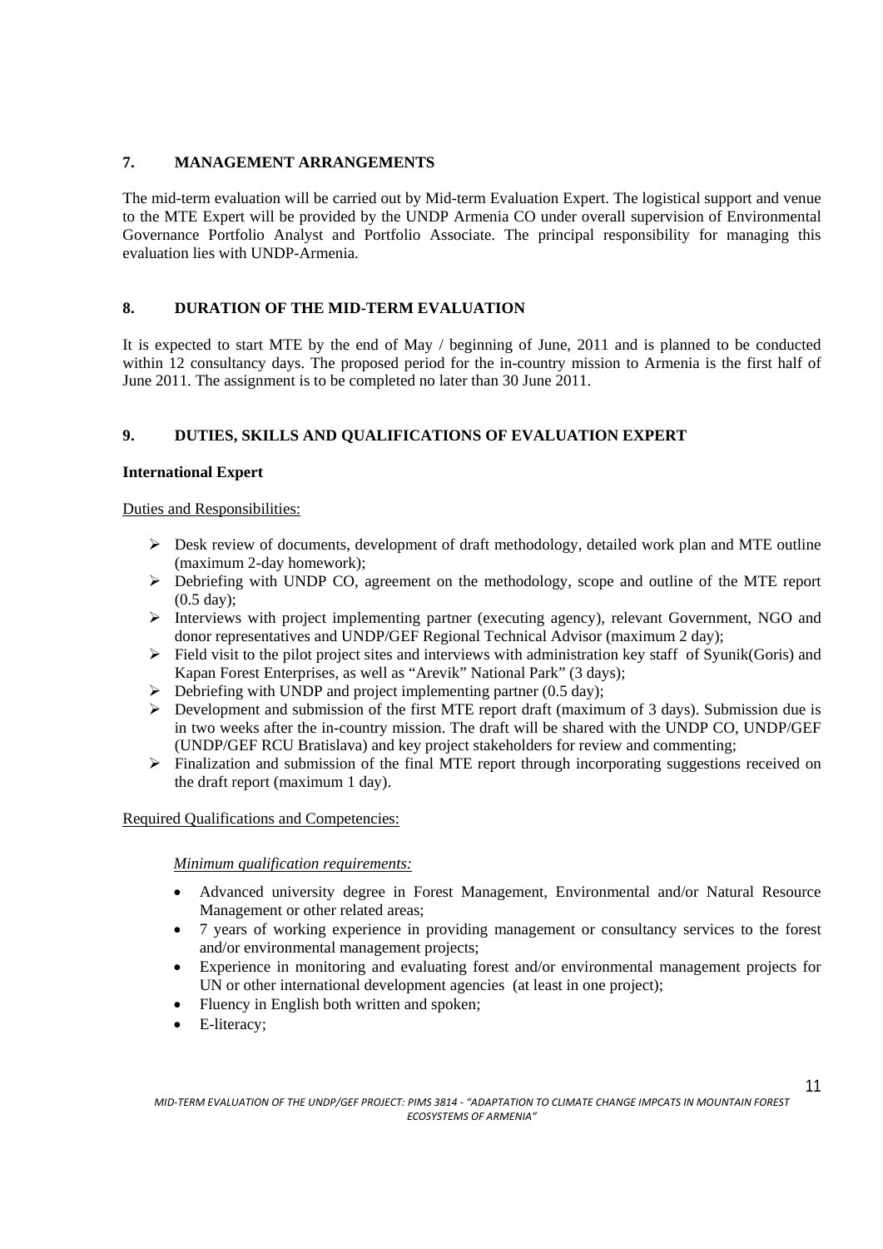## **7. MANAGEMENT ARRANGEMENTS**

The mid-term evaluation will be carried out by Mid-term Evaluation Expert. The logistical support and venue to the MTE Expert will be provided by the UNDP Armenia CO under overall supervision of Environmental Governance Portfolio Analyst and Portfolio Associate. The principal responsibility for managing this evaluation lies with UNDP-Armenia.

# **8. DURATION OF THE MID-TERM EVALUATION**

It is expected to start MTE by the end of May / beginning of June, 2011 and is planned to be conducted within 12 consultancy days. The proposed period for the in-country mission to Armenia is the first half of June 2011. The assignment is to be completed no later than 30 June 2011.

# **9. DUTIES, SKILLS AND QUALIFICATIONS OF EVALUATION EXPERT**

### **International Expert**

### Duties and Responsibilities:

- $\triangleright$  Desk review of documents, development of draft methodology, detailed work plan and MTE outline (maximum 2-day homework);
- $\triangleright$  Debriefing with UNDP CO, agreement on the methodology, scope and outline of the MTE report (0.5 day);
- ¾ Interviews with project implementing partner (executing agency), relevant Government, NGO and donor representatives and UNDP/GEF Regional Technical Advisor (maximum 2 day);
- ¾ Field visit to the pilot project sites and interviews with administration key staff of Syunik(Goris) and Kapan Forest Enterprises, as well as "Arevik" National Park" (3 days);
- $\triangleright$  Debriefing with UNDP and project implementing partner (0.5 day);
- $\triangleright$  Development and submission of the first MTE report draft (maximum of 3 days). Submission due is in two weeks after the in-country mission. The draft will be shared with the UNDP CO, UNDP/GEF (UNDP/GEF RCU Bratislava) and key project stakeholders for review and commenting;
- $\triangleright$  Finalization and submission of the final MTE report through incorporating suggestions received on the draft report (maximum 1 day).

### Required Qualifications and Competencies:

### *Minimum qualification requirements:*

- Advanced university degree in Forest Management, Environmental and/or Natural Resource Management or other related areas;
- 7 years of working experience in providing management or consultancy services to the forest and/or environmental management projects;
- Experience in monitoring and evaluating forest and/or environmental management projects for UN or other international development agencies (at least in one project);
- Fluency in English both written and spoken;
- E-literacy;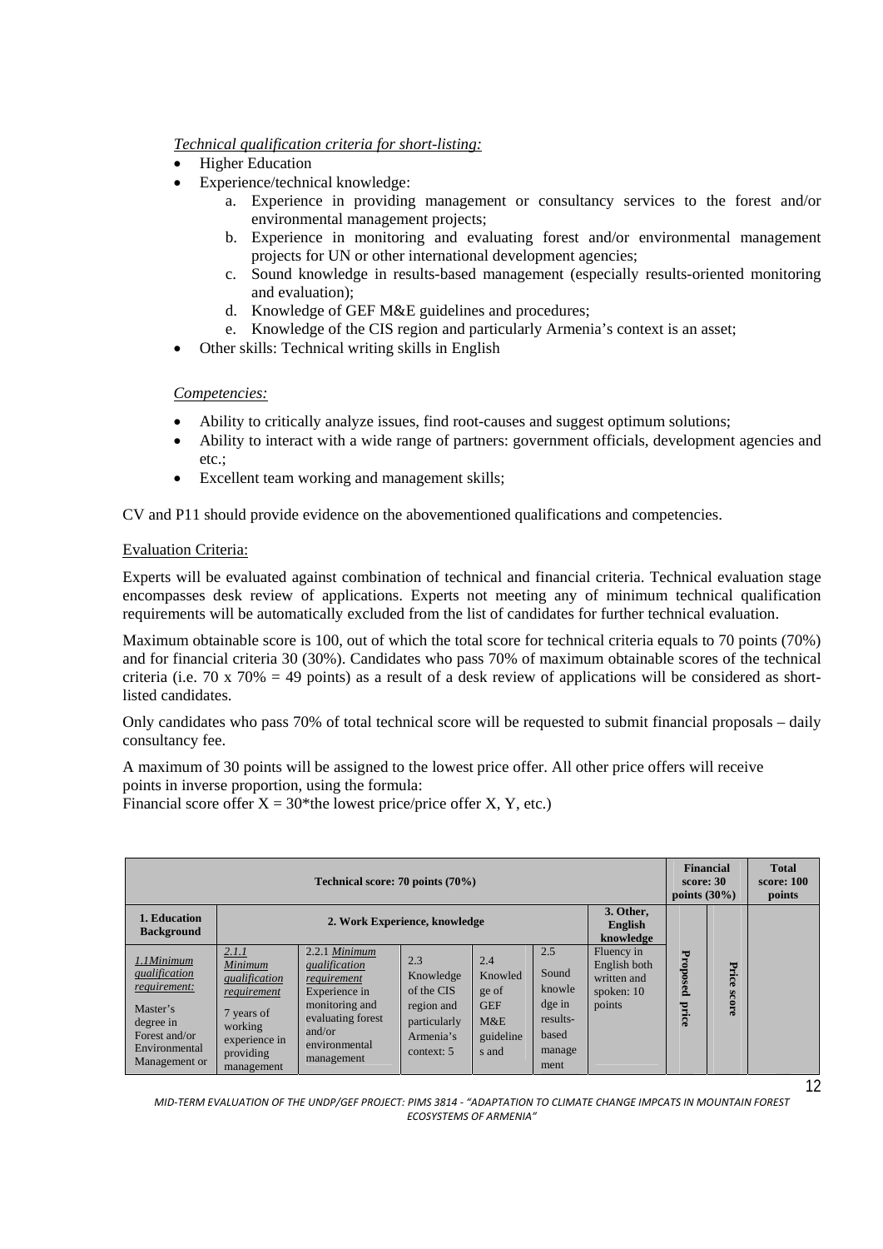## *Technical qualification criteria for short-listing:*

- **Higher Education**
- Experience/technical knowledge:
	- a. Experience in providing management or consultancy services to the forest and/or environmental management projects;
	- b. Experience in monitoring and evaluating forest and/or environmental management projects for UN or other international development agencies;
	- c. Sound knowledge in results-based management (especially results-oriented monitoring and evaluation);
	- d. Knowledge of GEF M&E guidelines and procedures;
	- e. Knowledge of the CIS region and particularly Armenia's context is an asset;
- Other skills: Technical writing skills in English

### *Competencies:*

- Ability to critically analyze issues, find root-causes and suggest optimum solutions;
- Ability to interact with a wide range of partners: government officials, development agencies and etc.;
- Excellent team working and management skills;

CV and P11 should provide evidence on the abovementioned qualifications and competencies.

## Evaluation Criteria:

Experts will be evaluated against combination of technical and financial criteria. Technical evaluation stage encompasses desk review of applications. Experts not meeting any of minimum technical qualification requirements will be automatically excluded from the list of candidates for further technical evaluation.

Maximum obtainable score is 100, out of which the total score for technical criteria equals to 70 points (70%) and for financial criteria 30 (30%). Candidates who pass 70% of maximum obtainable scores of the technical criteria (i.e. 70 x 70% = 49 points) as a result of a desk review of applications will be considered as shortlisted candidates.

Only candidates who pass 70% of total technical score will be requested to submit financial proposals – daily consultancy fee.

A maximum of 30 points will be assigned to the lowest price offer. All other price offers will receive points in inverse proportion, using the formula:

Financial score offer  $X = 30$ \*the lowest price/price offer X, Y, etc.)

| Technical score: 70 points $(70\%)$                                                                                     |                                                                                                                       |                                                                                                                                                |                                                                                           |                                                                    |                                                                         |                                                                     | <b>Financial</b><br>score: 30<br>points $(30\%)$ |                       | <b>Total</b><br>score: 100<br>points |
|-------------------------------------------------------------------------------------------------------------------------|-----------------------------------------------------------------------------------------------------------------------|------------------------------------------------------------------------------------------------------------------------------------------------|-------------------------------------------------------------------------------------------|--------------------------------------------------------------------|-------------------------------------------------------------------------|---------------------------------------------------------------------|--------------------------------------------------|-----------------------|--------------------------------------|
| 1. Education<br><b>Background</b>                                                                                       | 3. Other,<br>2. Work Experience, knowledge<br><b>English</b><br>knowledge                                             |                                                                                                                                                |                                                                                           |                                                                    |                                                                         |                                                                     |                                                  |                       |                                      |
| 1.1Minimum<br>qualification<br>requirement:<br>Master's<br>degree in<br>Forest and/or<br>Environmental<br>Management or | 2.1.1<br>Minimum<br>qualification<br>requirement<br>7 years of<br>working<br>experience in<br>providing<br>management | 2.2.1 Minimum<br>qualification<br>requirement<br>Experience in<br>monitoring and<br>evaluating forest<br>and/or<br>environmental<br>management | 2.3<br>Knowledge<br>of the CIS<br>region and<br>particularly<br>Armenia's<br>context: $5$ | 2.4<br>Knowled<br>ge of<br><b>GEF</b><br>M&E<br>guideline<br>s and | 2.5<br>Sound<br>knowle<br>dge in<br>results-<br>based<br>manage<br>ment | Fluency in<br>English both<br>written and<br>spoken: $10$<br>points | Proposed<br>price                                | Price<br><b>SCOTE</b> |                                      |

MID-TERM EVALUATION OF THE UNDP/GEF PROJECT: PIMS 3814 - "ADAPTATION TO CLIMATE CHANGE IMPCATS IN MOUNTAIN FOREST *ECOSYSTEMS OF ARMENIA"*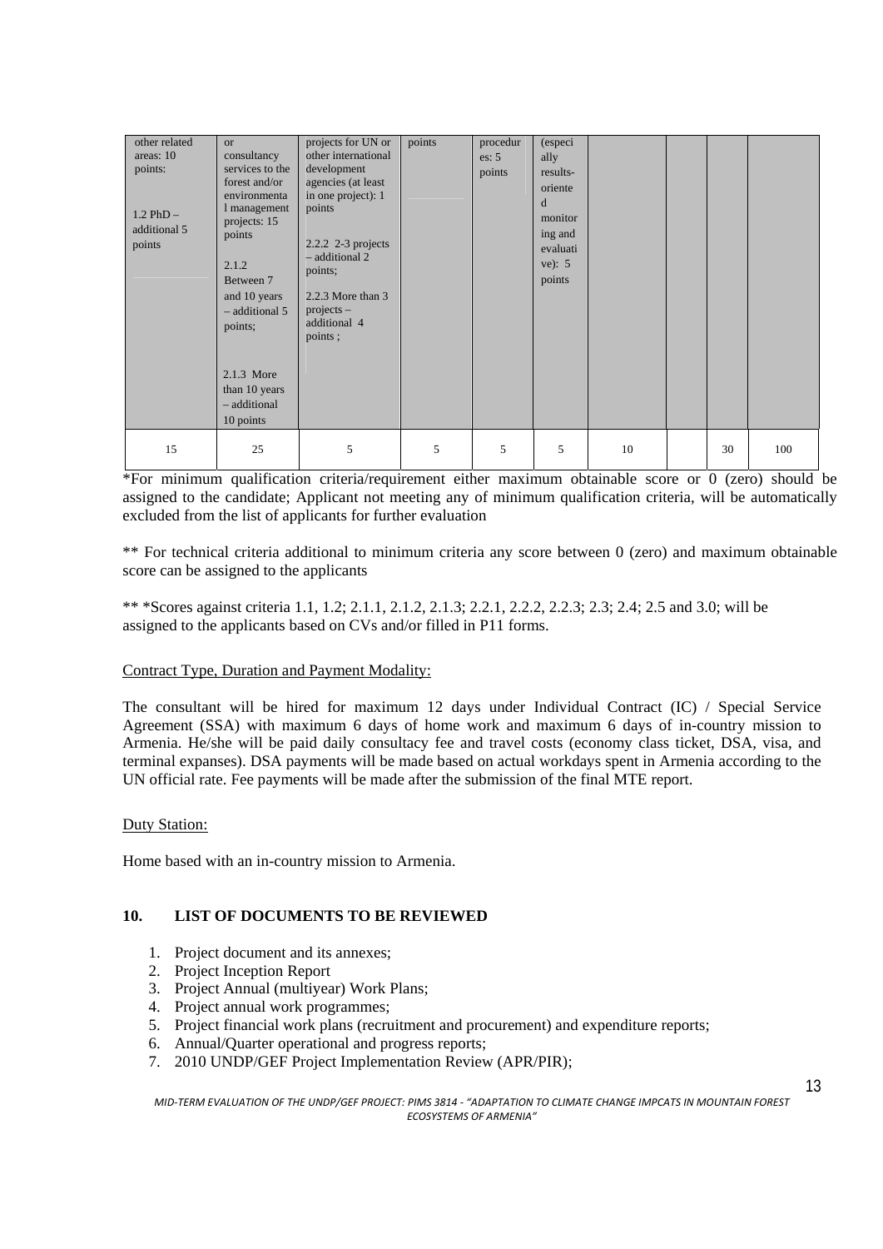| other related<br>areas: $10$<br>points:<br>$1.2$ PhD $-$<br>additional 5<br>points | <b>or</b><br>consultancy<br>services to the<br>forest and/or<br>environmenta<br>1 management<br>projects: 15<br>points<br>2.1.2<br>Between 7<br>and 10 years<br>- additional 5<br>points;<br>2.1.3 More<br>than 10 years<br>- additional<br>10 points | projects for UN or<br>other international<br>development<br>agencies (at least<br>in one project): 1<br>points<br>$2.2.2$ 2-3 projects<br>- additional 2<br>points;<br>$2.2.3$ More than $3$<br>$projects -$<br>additional 4<br>points; | points | procedur<br>es: 5<br>points | (especi<br>ally<br>results-<br>oriente<br>d<br>monitor<br>ing and<br>evaluati<br>ve): $5$<br>points |    |    |     |
|------------------------------------------------------------------------------------|-------------------------------------------------------------------------------------------------------------------------------------------------------------------------------------------------------------------------------------------------------|-----------------------------------------------------------------------------------------------------------------------------------------------------------------------------------------------------------------------------------------|--------|-----------------------------|-----------------------------------------------------------------------------------------------------|----|----|-----|
| 15                                                                                 | 25                                                                                                                                                                                                                                                    | 5                                                                                                                                                                                                                                       | 5      | 5                           | 5                                                                                                   | 10 | 30 | 100 |

\*For minimum qualification criteria/requirement either maximum obtainable score or 0 (zero) should be assigned to the candidate; Applicant not meeting any of minimum qualification criteria, will be automatically excluded from the list of applicants for further evaluation

\*\* For technical criteria additional to minimum criteria any score between 0 (zero) and maximum obtainable score can be assigned to the applicants

\*\* \*Scores against criteria 1.1, 1.2; 2.1.1, 2.1.2, 2.1.3; 2.2.1, 2.2.2, 2.2.3; 2.3; 2.4; 2.5 and 3.0; will be assigned to the applicants based on CVs and/or filled in P11 forms.

### Contract Type, Duration and Payment Modality:

The consultant will be hired for maximum 12 days under Individual Contract (IC) / Special Service Agreement (SSA) with maximum 6 days of home work and maximum 6 days of in-country mission to Armenia. He/she will be paid daily consultacy fee and travel costs (economy class ticket, DSA, visa, and terminal expanses). DSA payments will be made based on actual workdays spent in Armenia according to the UN official rate. Fee payments will be made after the submission of the final MTE report.

### Duty Station:

Home based with an in-country mission to Armenia.

## **10. LIST OF DOCUMENTS TO BE REVIEWED**

- 1. Project document and its annexes;
- 2. Project Inception Report
- 3. Project Annual (multiyear) Work Plans;
- 4. Project annual work programmes;
- 5. Project financial work plans (recruitment and procurement) and expenditure reports;
- 6. Annual/Quarter operational and progress reports;
- 7. 2010 UNDP/GEF Project Implementation Review (APR/PIR);

MID-TERM EVALUATION OF THE UNDP/GEF PROJECT: PIMS 3814 - "ADAPTATION TO CLIMATE CHANGE IMPCATS IN MOUNTAIN FOREST *ECOSYSTEMS OF ARMENIA"*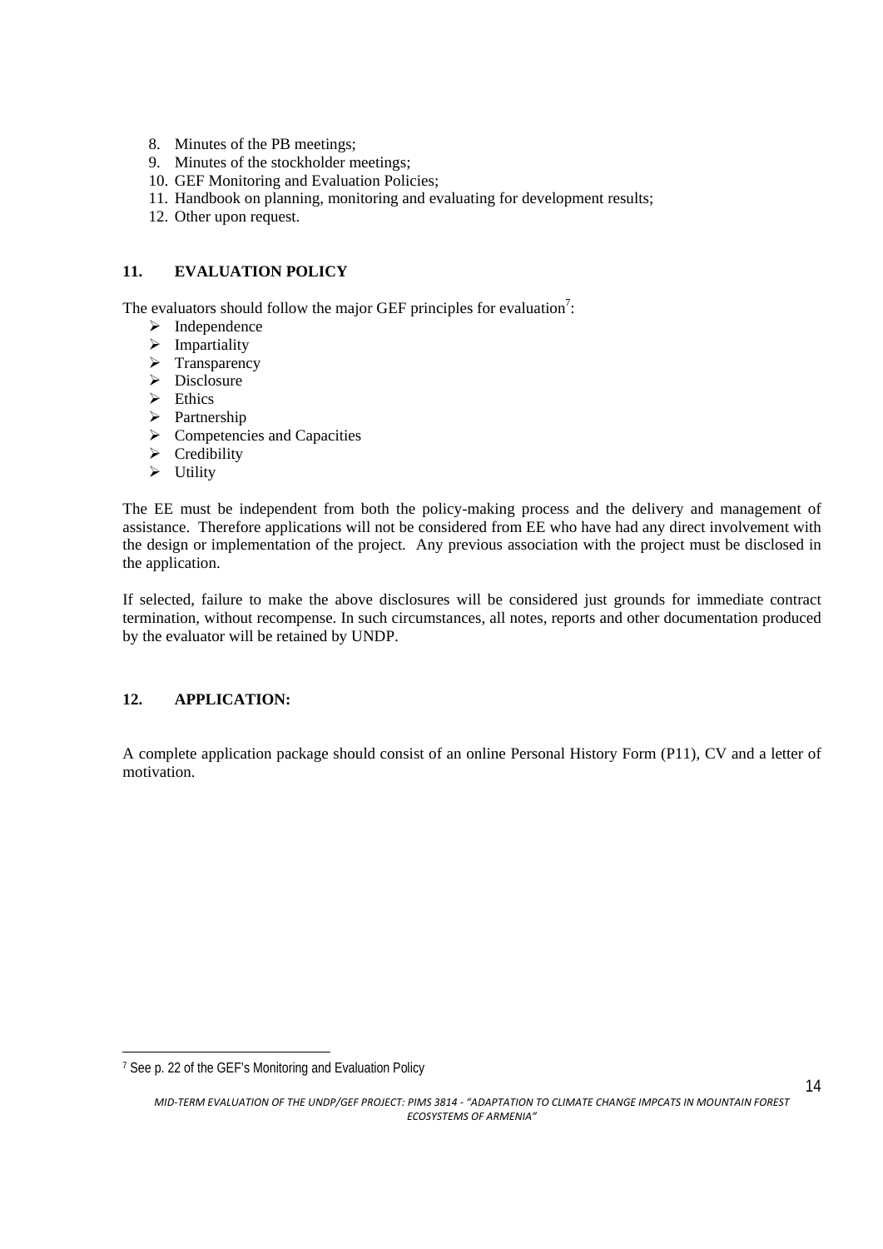- 8. Minutes of the PB meetings;
- 9. Minutes of the stockholder meetings;
- 10. GEF Monitoring and Evaluation Policies;
- 11. Handbook on planning, monitoring and evaluating for development results;
- 12. Other upon request.

## **11. EVALUATION POLICY**

The evaluators should follow the major GEF principles for evaluation<sup>7</sup>:

- $\triangleright$  Independence
- $\triangleright$  Impartiality
- $\triangleright$  Transparency
- $\triangleright$  Disclosure
- $\triangleright$  Ethics
- ¾ Partnership
- $\triangleright$  Competencies and Capacities
- $\triangleright$  Credibility
- $\triangleright$  Utility

The EE must be independent from both the policy-making process and the delivery and management of assistance. Therefore applications will not be considered from EE who have had any direct involvement with the design or implementation of the project. Any previous association with the project must be disclosed in the application.

If selected, failure to make the above disclosures will be considered just grounds for immediate contract termination, without recompense. In such circumstances, all notes, reports and other documentation produced by the evaluator will be retained by UNDP.

# **12. APPLICATION:**

A complete application package should consist of an online Personal History Form (P11), CV and a letter of motivation.

l,

<sup>7</sup> See p. 22 of the GEF's Monitoring and Evaluation Policy

MID-TERM EVALUATION OF THE UNDP/GEF PROJECT: PIMS 3814 - "ADAPTATION TO CLIMATE CHANGE IMPCATS IN MOUNTAIN FOREST *ECOSYSTEMS OF ARMENIA"*